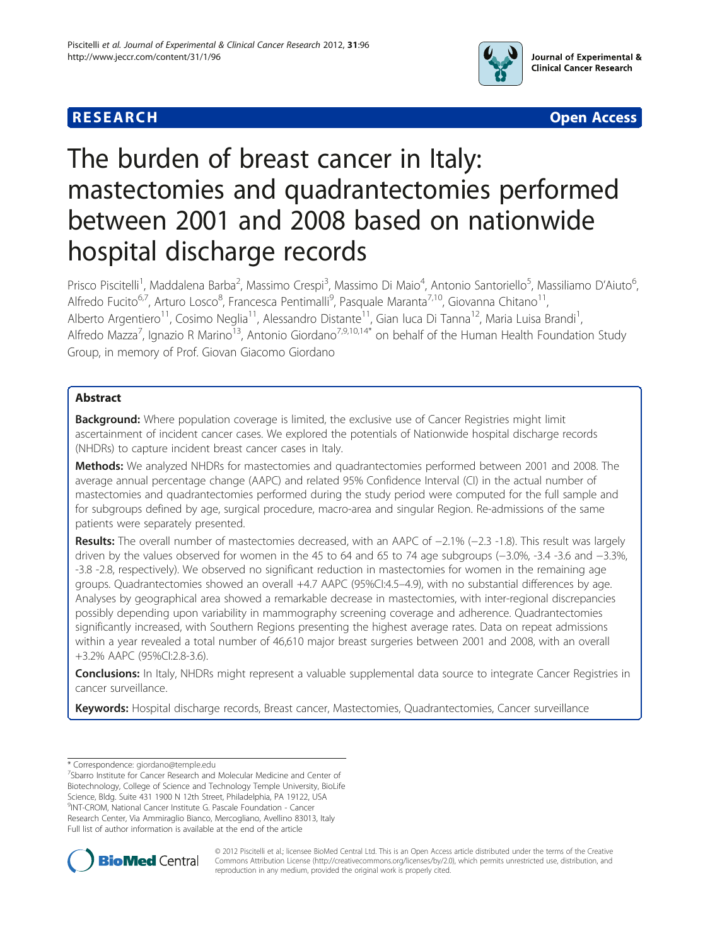

**RESEARCH CHINESE ARCH CHINESE ARCHITECT ARCHITECT ARCHITECT ARCHITECT ARCHITECT ARCHITECT ARCHITECT ARCHITECT ARCHITECT ARCHITECT ARCHITECT ARCHITECT ARCHITECT ARCHITECT ARCHITECT ARCHITECT ARCHITECT ARCHITECT ARCHITE** 

# The burden of breast cancer in Italy: mastectomies and quadrantectomies performed between 2001 and 2008 based on nationwide hospital discharge records

Prisco Piscitelli<sup>1</sup>, Maddalena Barba<sup>2</sup>, Massimo Crespi<sup>3</sup>, Massimo Di Maio<sup>4</sup>, Antonio Santoriello<sup>5</sup>, Massiliamo D'Aiuto<sup>6</sup> , Alfredo Fucito<sup>6,7</sup>, Arturo Losco<sup>8</sup>, Francesca Pentimalli<sup>9</sup>, Pasquale Maranta<sup>7,10</sup>, Giovanna Chitano<sup>11</sup>, Alberto Argentiero<sup>11</sup>, Cosimo Neglia<sup>11</sup>, Alessandro Distante<sup>11</sup>, Gian luca Di Tanna<sup>12</sup>, Maria Luisa Brandi<sup>1</sup>, , Alfredo Mazza<sup>7</sup>, Ignazio R Marino<sup>13</sup>, Antonio Giordano<sup>7,9,10,14\*</sup> on behalf of the Human Health Foundation Study Group, in memory of Prof. Giovan Giacomo Giordano

# Abstract

**Background:** Where population coverage is limited, the exclusive use of Cancer Registries might limit ascertainment of incident cancer cases. We explored the potentials of Nationwide hospital discharge records (NHDRs) to capture incident breast cancer cases in Italy.

Methods: We analyzed NHDRs for mastectomies and quadrantectomies performed between 2001 and 2008. The average annual percentage change (AAPC) and related 95% Confidence Interval (CI) in the actual number of mastectomies and quadrantectomies performed during the study period were computed for the full sample and for subgroups defined by age, surgical procedure, macro-area and singular Region. Re-admissions of the same patients were separately presented.

Results: The overall number of mastectomies decreased, with an AAPC of -2.1% (-2.3 -1.8). This result was largely driven by the values observed for women in the 45 to 64 and 65 to 74 age subgroups (−3.0%, -3.4 -3.6 and −3.3%, -3.8 -2.8, respectively). We observed no significant reduction in mastectomies for women in the remaining age groups. Quadrantectomies showed an overall +4.7 AAPC (95%CI:4.5–4.9), with no substantial differences by age. Analyses by geographical area showed a remarkable decrease in mastectomies, with inter-regional discrepancies possibly depending upon variability in mammography screening coverage and adherence. Quadrantectomies significantly increased, with Southern Regions presenting the highest average rates. Data on repeat admissions within a year revealed a total number of 46,610 major breast surgeries between 2001 and 2008, with an overall +3.2% AAPC (95%CI:2.8-3.6).

Conclusions: In Italy, NHDRs might represent a valuable supplemental data source to integrate Cancer Registries in cancer surveillance.

Keywords: Hospital discharge records, Breast cancer, Mastectomies, Quadrantectomies, Cancer surveillance

\* Correspondence: [giordano@temple.edu](mailto:giordano@temple.edu) <sup>7</sup>

<sup>7</sup>Sbarro Institute for Cancer Research and Molecular Medicine and Center of Biotechnology, College of Science and Technology Temple University, BioLife Science, Bldg. Suite 431 1900 N 12th Street, Philadelphia, PA 19122, USA 9 INT-CROM, National Cancer Institute G. Pascale Foundation - Cancer Research Center, Via Ammiraglio Bianco, Mercogliano, Avellino 83013, Italy Full list of author information is available at the end of the article



© 2012 Piscitelli et al.; licensee BioMed Central Ltd. This is an Open Access article distributed under the terms of the Creative Commons Attribution License [\(http://creativecommons.org/licenses/by/2.0\)](http://creativecommons.org/licenses/by/2.0), which permits unrestricted use, distribution, and reproduction in any medium, provided the original work is properly cited.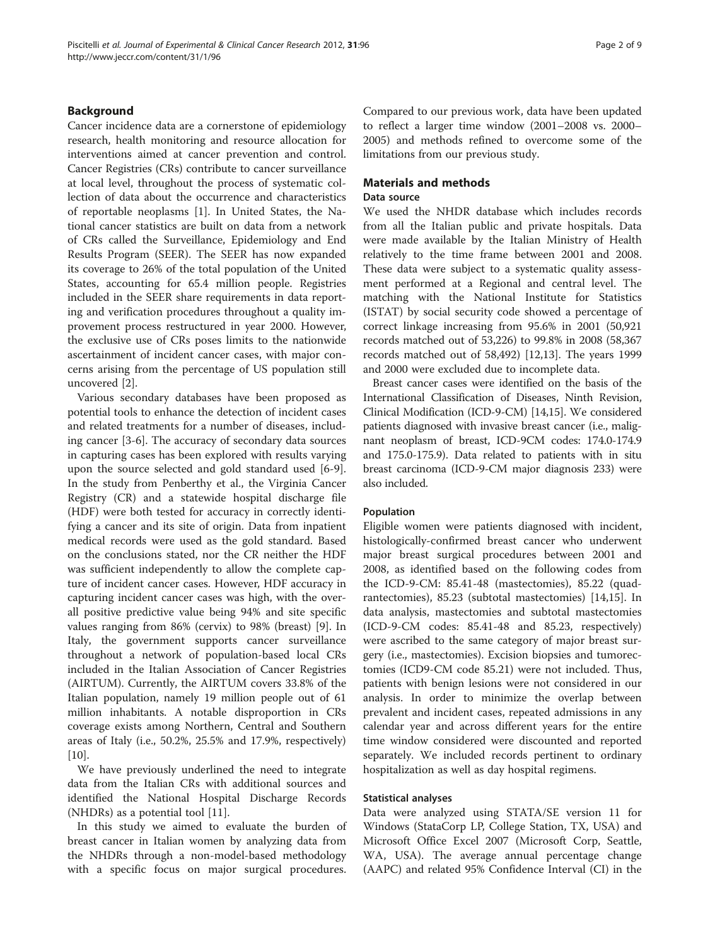# Background

Cancer incidence data are a cornerstone of epidemiology research, health monitoring and resource allocation for interventions aimed at cancer prevention and control. Cancer Registries (CRs) contribute to cancer surveillance at local level, throughout the process of systematic collection of data about the occurrence and characteristics of reportable neoplasms [\[1](#page-8-0)]. In United States, the National cancer statistics are built on data from a network of CRs called the Surveillance, Epidemiology and End Results Program (SEER). The SEER has now expanded its coverage to 26% of the total population of the United States, accounting for 65.4 million people. Registries included in the SEER share requirements in data reporting and verification procedures throughout a quality improvement process restructured in year 2000. However, the exclusive use of CRs poses limits to the nationwide ascertainment of incident cancer cases, with major concerns arising from the percentage of US population still uncovered [\[2](#page-8-0)].

Various secondary databases have been proposed as potential tools to enhance the detection of incident cases and related treatments for a number of diseases, including cancer [\[3](#page-8-0)-[6\]](#page-8-0). The accuracy of secondary data sources in capturing cases has been explored with results varying upon the source selected and gold standard used [[6-9](#page-8-0)]. In the study from Penberthy et al., the Virginia Cancer Registry (CR) and a statewide hospital discharge file (HDF) were both tested for accuracy in correctly identifying a cancer and its site of origin. Data from inpatient medical records were used as the gold standard. Based on the conclusions stated, nor the CR neither the HDF was sufficient independently to allow the complete capture of incident cancer cases. However, HDF accuracy in capturing incident cancer cases was high, with the overall positive predictive value being 94% and site specific values ranging from 86% (cervix) to 98% (breast) [\[9\]](#page-8-0). In Italy, the government supports cancer surveillance throughout a network of population-based local CRs included in the Italian Association of Cancer Registries (AIRTUM). Currently, the AIRTUM covers 33.8% of the Italian population, namely 19 million people out of 61 million inhabitants. A notable disproportion in CRs coverage exists among Northern, Central and Southern areas of Italy (i.e., 50.2%, 25.5% and 17.9%, respectively)  $[10]$  $[10]$ .

We have previously underlined the need to integrate data from the Italian CRs with additional sources and identified the National Hospital Discharge Records (NHDRs) as a potential tool [[11](#page-8-0)].

In this study we aimed to evaluate the burden of breast cancer in Italian women by analyzing data from the NHDRs through a non-model-based methodology with a specific focus on major surgical procedures.

Compared to our previous work, data have been updated to reflect a larger time window (2001–2008 vs. 2000– 2005) and methods refined to overcome some of the limitations from our previous study.

# Materials and methods

# Data source

We used the NHDR database which includes records from all the Italian public and private hospitals. Data were made available by the Italian Ministry of Health relatively to the time frame between 2001 and 2008. These data were subject to a systematic quality assessment performed at a Regional and central level. The matching with the National Institute for Statistics (ISTAT) by social security code showed a percentage of correct linkage increasing from 95.6% in 2001 (50,921 records matched out of 53,226) to 99.8% in 2008 (58,367 records matched out of 58,492) [[12](#page-8-0),[13](#page-8-0)]. The years 1999 and 2000 were excluded due to incomplete data.

Breast cancer cases were identified on the basis of the International Classification of Diseases, Ninth Revision, Clinical Modification (ICD-9-CM) [[14,15\]](#page-8-0). We considered patients diagnosed with invasive breast cancer (i.e., malignant neoplasm of breast, ICD-9CM codes: 174.0-174.9 and 175.0-175.9). Data related to patients with in situ breast carcinoma (ICD-9-CM major diagnosis 233) were also included.

### Population

Eligible women were patients diagnosed with incident, histologically-confirmed breast cancer who underwent major breast surgical procedures between 2001 and 2008, as identified based on the following codes from the ICD-9-CM: 85.41-48 (mastectomies), 85.22 (quadrantectomies), 85.23 (subtotal mastectomies) [[14,15](#page-8-0)]. In data analysis, mastectomies and subtotal mastectomies (ICD-9-CM codes: 85.41-48 and 85.23, respectively) were ascribed to the same category of major breast surgery (i.e., mastectomies). Excision biopsies and tumorectomies (ICD9-CM code 85.21) were not included. Thus, patients with benign lesions were not considered in our analysis. In order to minimize the overlap between prevalent and incident cases, repeated admissions in any calendar year and across different years for the entire time window considered were discounted and reported separately. We included records pertinent to ordinary hospitalization as well as day hospital regimens.

#### Statistical analyses

Data were analyzed using STATA/SE version 11 for Windows (StataCorp LP, College Station, TX, USA) and Microsoft Office Excel 2007 (Microsoft Corp, Seattle, WA, USA). The average annual percentage change (AAPC) and related 95% Confidence Interval (CI) in the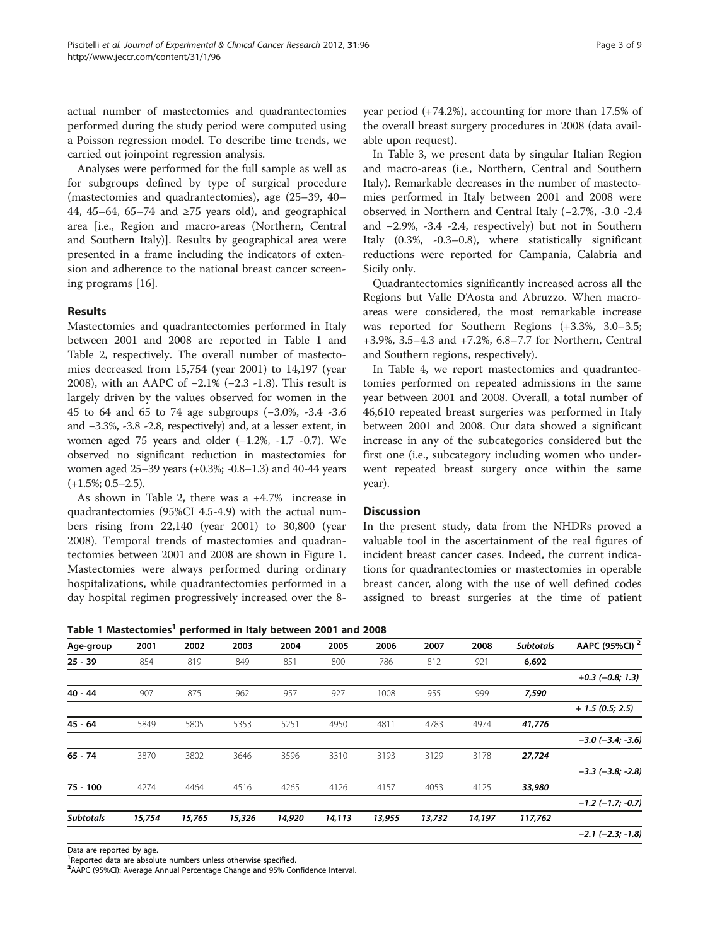actual number of mastectomies and quadrantectomies performed during the study period were computed using a Poisson regression model. To describe time trends, we carried out joinpoint regression analysis.

Analyses were performed for the full sample as well as for subgroups defined by type of surgical procedure (mastectomies and quadrantectomies), age (25–39, 40– 44, 45–64, 65–74 and  $\geq$ 75 years old), and geographical area [i.e., Region and macro-areas (Northern, Central and Southern Italy)]. Results by geographical area were presented in a frame including the indicators of extension and adherence to the national breast cancer screening programs [\[16\]](#page-8-0).

# Results

Mastectomies and quadrantectomies performed in Italy between 2001 and 2008 are reported in Table 1 and Table [2](#page-3-0), respectively. The overall number of mastectomies decreased from 15,754 (year 2001) to 14,197 (year 2008), with an AAPC of −2.1% (−2.3 -1.8). This result is largely driven by the values observed for women in the 45 to 64 and 65 to 74 age subgroups (−3.0%, -3.4 -3.6 and −3.3%, -3.8 -2.8, respectively) and, at a lesser extent, in women aged 75 years and older (−1.2%, -1.7 -0.7). We observed no significant reduction in mastectomies for women aged 25–39 years (+0.3%; -0.8–1.3) and 40-44 years  $(+1.5\%; 0.5-2.5).$ 

As shown in Table [2](#page-3-0), there was a +4.7% increase in quadrantectomies (95%CI 4.5-4.9) with the actual numbers rising from 22,140 (year 2001) to 30,800 (year 2008). Temporal trends of mastectomies and quadrantectomies between 2001 and 2008 are shown in Figure [1](#page-3-0). Mastectomies were always performed during ordinary hospitalizations, while quadrantectomies performed in a day hospital regimen progressively increased over the 8year period (+74.2%), accounting for more than 17.5% of the overall breast surgery procedures in 2008 (data available upon request).

In Table [3,](#page-4-0) we present data by singular Italian Region and macro-areas (i.e., Northern, Central and Southern Italy). Remarkable decreases in the number of mastectomies performed in Italy between 2001 and 2008 were observed in Northern and Central Italy (−2.7%, -3.0 -2.4 and −2.9%, -3.4 -2.4, respectively) but not in Southern Italy (0.3%, -0.3–0.8), where statistically significant reductions were reported for Campania, Calabria and Sicily only.

Quadrantectomies significantly increased across all the Regions but Valle D'Aosta and Abruzzo. When macroareas were considered, the most remarkable increase was reported for Southern Regions (+3.3%, 3.0–3.5; +3.9%, 3.5–4.3 and +7.2%, 6.8–7.7 for Northern, Central and Southern regions, respectively).

In Table [4](#page-6-0), we report mastectomies and quadrantectomies performed on repeated admissions in the same year between 2001 and 2008. Overall, a total number of 46,610 repeated breast surgeries was performed in Italy between 2001 and 2008. Our data showed a significant increase in any of the subcategories considered but the first one (i.e., subcategory including women who underwent repeated breast surgery once within the same year).

# **Discussion**

In the present study, data from the NHDRs proved a valuable tool in the ascertainment of the real figures of incident breast cancer cases. Indeed, the current indications for quadrantectomies or mastectomies in operable breast cancer, along with the use of well defined codes assigned to breast surgeries at the time of patient

|  |  |  |  | Table 1 Mastectomies <sup>1</sup> performed in Italy between 2001 and 2008 |
|--|--|--|--|----------------------------------------------------------------------------|
|--|--|--|--|----------------------------------------------------------------------------|

| Age-group        | 2001         | 2002   | 2003   | 2004   | 2005   | 2006   | 2007   | 2008   | <b>Subtotals</b> | AAPC (95%CI) <sup>2</sup>  |
|------------------|--------------|--------|--------|--------|--------|--------|--------|--------|------------------|----------------------------|
| $25 - 39$        | 854          | 819    | 849    | 851    | 800    | 786    | 812    | 921    | 6,692            |                            |
|                  |              |        |        |        |        |        |        |        |                  | $+0.3$ (-0.8; 1.3)         |
| $40 - 44$        | 907          | 875    | 962    | 957    | 927    | 1008   | 955    | 999    | 7,590            |                            |
|                  |              |        |        |        |        |        |        |        |                  | $+ 1.5 (0.5; 2.5)$         |
| $45 - 64$        | 5849         | 5805   | 5353   | 5251   | 4950   | 4811   | 4783   | 4974   | 41,776           |                            |
|                  |              |        |        |        |        |        |        |        |                  | $-3.0$ ( $-3.4$ ; $-3.6$ ) |
| $65 - 74$        | 3870<br>3802 |        | 3646   | 3596   | 3310   | 3193   | 3129   | 3178   | 27,724           |                            |
|                  |              |        |        |        |        |        |        |        |                  | $-3.3$ $(-3.8; -2.8)$      |
| 75 - 100         | 4274         | 4464   | 4516   | 4265   | 4126   | 4157   | 4053   | 4125   | 33,980           |                            |
|                  |              |        |        |        |        |        |        |        |                  | $-1.2$ (-1.7; -0.7)        |
| <b>Subtotals</b> | 15,754       | 15,765 | 15,326 | 14,920 | 14,113 | 13,955 | 13,732 | 14,197 | 117,762          |                            |
|                  |              |        |        |        |        |        |        |        |                  | $-2.1$ $(-2.3; -1.8)$      |

Data are reported by age.

<sup>1</sup> Reported data are absolute numbers unless otherwise specified.

<sup>2</sup>AAPC (95%CI): Average Annual Percentage Change and 95% Confidence Interval.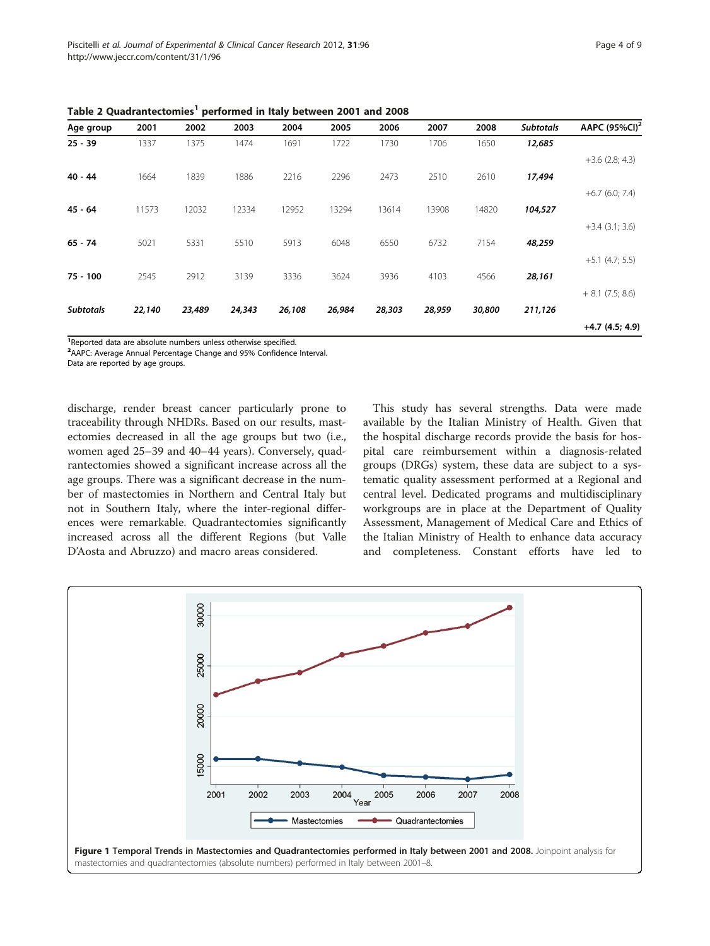| Page 4 of 9 |  |  |  |
|-------------|--|--|--|
|-------------|--|--|--|

<span id="page-3-0"></span>Table 2 Quadrantectomies<sup>1</sup> performed in Italy between 2001 and 2008

| Age group        | 2001   | 2002   | 2003   | 2004   | 2005   | 2006   | 2007   | 2008   | <b>Subtotals</b> | AAPC (95%CI) <sup>2</sup> |
|------------------|--------|--------|--------|--------|--------|--------|--------|--------|------------------|---------------------------|
| $25 - 39$        | 1337   | 1375   | 1474   | 1691   | 1722   | 1730   | 1706   | 1650   | 12,685           |                           |
|                  |        |        |        |        |        |        |        |        |                  | $+3.6$ (2.8; 4.3)         |
| $40 - 44$        | 1664   | 1839   | 1886   | 2216   | 2296   | 2473   | 2510   | 2610   | 17,494           |                           |
|                  |        |        |        |        |        |        |        |        |                  | $+6.7$ (6.0; 7.4)         |
| $45 - 64$        | 11573  | 12032  | 12334  | 12952  | 13294  | 13614  | 13908  | 14820  | 104,527          |                           |
|                  |        |        |        |        |        |        |        |        |                  | $+3.4$ (3.1; 3.6)         |
| $65 - 74$        | 5021   | 5331   | 5510   | 5913   | 6048   | 6550   | 6732   | 7154   | 48,259           |                           |
|                  |        |        |        |        |        |        |        |        |                  | $+5.1$ (4.7; 5.5)         |
| $75 - 100$       | 2545   | 2912   | 3139   | 3336   | 3624   | 3936   | 4103   | 4566   | 28,161           |                           |
|                  |        |        |        |        |        |        |        |        |                  | $+8.1$ (7.5; 8.6)         |
| <b>Subtotals</b> | 22,140 | 23,489 | 24,343 | 26,108 | 26,984 | 28,303 | 28,959 | 30,800 | 211,126          |                           |
|                  |        |        |        |        |        |        |        |        |                  | $+4.7$ (4.5; 4.9)         |

<sup>1</sup>Reported data are absolute numbers unless otherwise specified.

<sup>2</sup>AAPC: Average Annual Percentage Change and 95% Confidence Interval.

Data are reported by age groups.

discharge, render breast cancer particularly prone to traceability through NHDRs. Based on our results, mastectomies decreased in all the age groups but two (i.e., women aged 25–39 and 40–44 years). Conversely, quadrantectomies showed a significant increase across all the age groups. There was a significant decrease in the number of mastectomies in Northern and Central Italy but not in Southern Italy, where the inter-regional differences were remarkable. Quadrantectomies significantly increased across all the different Regions (but Valle D'Aosta and Abruzzo) and macro areas considered.

This study has several strengths. Data were made available by the Italian Ministry of Health. Given that the hospital discharge records provide the basis for hospital care reimbursement within a diagnosis-related groups (DRGs) system, these data are subject to a systematic quality assessment performed at a Regional and central level. Dedicated programs and multidisciplinary workgroups are in place at the Department of Quality Assessment, Management of Medical Care and Ethics of the Italian Ministry of Health to enhance data accuracy and completeness. Constant efforts have led to

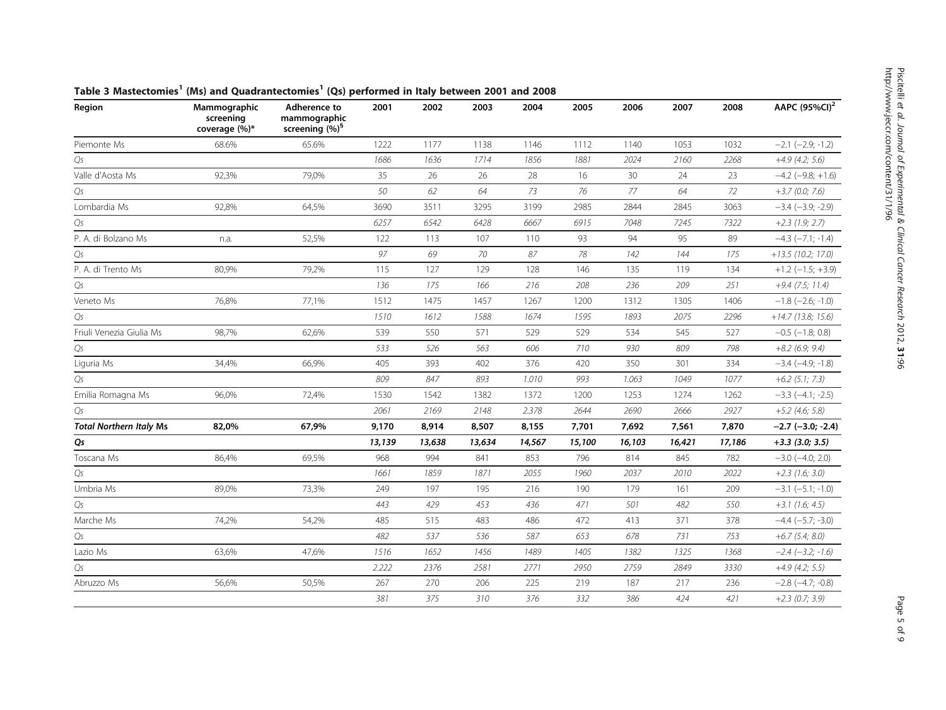| Region                         | Mammographic<br>screening<br>coverage (%)* | Adherence to<br>mammographic<br>screening $(\%)^5$ | 2001   | 2002   | 2003   | 2004   | 2005   | 2006   | 2007   | 2008   | AAPC (95%CI) <sup>2</sup>  |
|--------------------------------|--------------------------------------------|----------------------------------------------------|--------|--------|--------|--------|--------|--------|--------|--------|----------------------------|
| Piemonte Ms                    | 68.6%                                      | 65.6%                                              | 1222   | 1177   | 1138   | 1146   | 1112   | 1140   | 1053   | 1032   | $-2.1$ $(-2.9; -1.2)$      |
| Q <sub>S</sub>                 |                                            |                                                    | 1686   | 1636   | 1714   | 1856   | 1881   | 2024   | 2160   | 2268   | $+4.9$ (4.2; 5.6)          |
| Valle d'Aosta Ms               | 92,3%                                      | 79,0%                                              | 35     | 26     | 26     | 28     | 16     | 30     | 24     | 23     | $-4.2$ ( $-9.8$ ; $+1.6$ ) |
| Qs                             |                                            |                                                    | 50     | 62     | 64     | 73     | 76     | 77     | 64     | 72     | $+3.7$ (0.0; 7.6)          |
| Lombardia Ms                   | 92,8%                                      | 64,5%                                              | 3690   | 3511   | 3295   | 3199   | 2985   | 2844   | 2845   | 3063   | $-3.4 (-3.9; -2.9)$        |
| Qs                             |                                            |                                                    | 6257   | 6542   | 6428   | 6667   | 6915   | 7048   | 7245   | 7322   | $+2.3$ (1.9; 2.7)          |
| P. A. di Bolzano Ms            | n.a.                                       | 52,5%                                              | 122    | 113    | 107    | 110    | 93     | 94     | 95     | 89     | $-4.3$ ( $-7.1$ ; $-1.4$ ) |
| $\mathbb{Q}$                   |                                            |                                                    | 97     | 69     | 70     | 87     | 78     | 142    | 144    | 175    | $+13.5(10.2; 17.0)$        |
| P. A. di Trento Ms             | 80,9%                                      | 79,2%                                              | 115    | 127    | 129    | 128    | 146    | 135    | 119    | 134    | $+1.2$ (-1.5; +3.9)        |
| $\mathbb{Q}$                   |                                            |                                                    | 136    | 175    | 166    | 216    | 208    | 236    | 209    | 251    | $+9.4$ (7.5; 11.4)         |
| Veneto Ms                      | 76,8%                                      | 77,1%                                              | 1512   | 1475   | 1457   | 1267   | 1200   | 1312   | 1305   | 1406   | $-1.8$ ( $-2.6$ ; $-1.0$ ) |
| Qs                             |                                            |                                                    | 1510   | 1612   | 1588   | 1674   | 1595   | 1893   | 2075   | 2296   | $+14.7(13.8; 15.6)$        |
| Friuli Venezia Giulia Ms       | 98,7%                                      | 62,6%                                              | 539    | 550    | 571    | 529    | 529    | 534    | 545    | 527    | $-0.5$ ( $-1.8$ ; 0.8)     |
| Qs                             |                                            |                                                    | 533    | 526    | 563    | 606    | 710    | 930    | 809    | 798    | $+8.2$ (6.9; 9.4)          |
| Liguria Ms                     | 34.4%                                      | 66.9%                                              | 405    | 393    | 402    | 376    | 420    | 350    | 301    | 334    | $-3.4$ $(-4.9; -1.8)$      |
| Qs                             |                                            |                                                    | 809    | 847    | 893    | 1.010  | 993    | 1.063  | 1049   | 1077   | $+6.2$ (5.1; 7.3)          |
| Emilia Romagna Ms              | 96,0%                                      | 72,4%                                              | 1530   | 1542   | 1382   | 1372   | 1200   | 1253   | 1274   | 1262   | $-3.3$ $(-4.1; -2.5)$      |
| Qs                             |                                            |                                                    | 2061   | 2169   | 2148   | 2.378  | 2644   | 2690   | 2666   | 2927   | $+5.2$ (4.6; 5.8)          |
| <b>Total Northern Italy Ms</b> | 82,0%                                      | 67,9%                                              | 9,170  | 8,914  | 8,507  | 8,155  | 7,701  | 7,692  | 7,561  | 7,870  | $-2.7$ ( $-3.0; -2.4$ )    |
| Qs                             |                                            |                                                    | 13,139 | 13,638 | 13,634 | 14,567 | 15,100 | 16,103 | 16,421 | 17,186 | $+3.3$ (3.0; 3.5)          |
| Toscana Ms                     | 86,4%                                      | 69,5%                                              | 968    | 994    | 841    | 853    | 796    | 814    | 845    | 782    | $-3.0$ $(-4.0; 2.0)$       |
| Qs                             |                                            |                                                    | 1661   | 1859   | 1871   | 2055   | 1960   | 2037   | 2010   | 2022   | $+2.3$ (1.6; 3.0)          |
| Umbria Ms                      | 89,0%                                      | 73,3%                                              | 249    | 197    | 195    | 216    | 190    | 179    | 161    | 209    | $-3.1$ $(-5.1; -1.0)$      |
| Qs                             |                                            |                                                    | 443    | 429    | 453    | 436    | 471    | 501    | 482    | 550    | $+3.1$ (1.6; 4.5)          |
| Marche Ms                      | 74,2%                                      | 54,2%                                              | 485    | 515    | 483    | 486    | 472    | 413    | 371    | 378    | $-4.4$ $(-5.7; -3.0)$      |
| Qs                             |                                            |                                                    | 482    | 537    | 536    | 587    | 653    | 678    | 731    | 753    | $+6.7$ (5.4; 8.0)          |
| Lazio Ms                       | 63,6%                                      | 47,6%                                              | 1516   | 1652   | 1456   | 1489   | 1405   | 1382   | 1325   | 1368   | $-2.4$ $(-3.2; -1.6)$      |
| $\mathbb{Q}$                   |                                            |                                                    | 2.222  | 2376   | 2581   | 2771   | 2950   | 2759   | 2849   | 3330   | $+4.9$ (4.2; 5.5)          |
| Abruzzo Ms                     | 56.6%                                      | 50,5%                                              | 267    | 270    | 206    | 225    | 219    | 187    | 217    | 236    | $-2.8$ ( $-4.7$ ; $-0.8$ ) |
|                                |                                            |                                                    | 381    | 375    | 310    | 376    | 332    | 386    | 424    | 421    | $+2.3$ (0.7; 3.9)          |
|                                |                                            |                                                    |        |        |        |        |        |        |        |        |                            |

# <span id="page-4-0"></span>Table 3 Mastectomies<sup>1</sup> (Ms) and Quadrantectomies<sup>1</sup> (Qs) performed in Italy between 2001 and 2008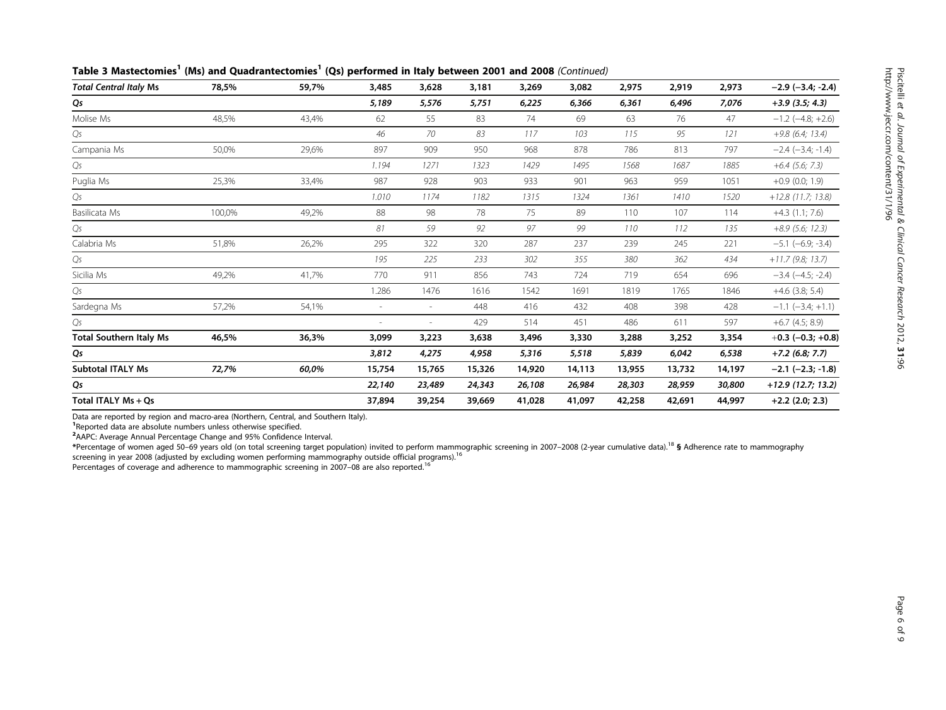| <b>Total Central Italy Ms</b> | 78,5%  | 59,7% | 3,485                    | 3,628  | 3,181  | 3,269  | 3,082  | 2,975  | 2,919  | 2,973  | $-2.9$ ( $-3.4$ ; $-2.4$ ) |
|-------------------------------|--------|-------|--------------------------|--------|--------|--------|--------|--------|--------|--------|----------------------------|
| Qs                            |        |       | 5,189                    | 5,576  | 5,751  | 6,225  | 6,366  | 6,361  | 6,496  | 7,076  | $+3.9$ (3.5; 4.3)          |
| Molise Ms                     | 48,5%  | 43,4% | 62                       | 55     | 83     | 74     | 69     | 63     | 76     | 47     | $-1.2$ ( $-4.8$ ; $+2.6$ ) |
| Qs                            |        |       | 46                       | 70     | 83     | 117    | 103    | 115    | 95     | 121    | $+9.8$ (6.4; 13.4)         |
| Campania Ms                   | 50,0%  | 29,6% | 897                      | 909    | 950    | 968    | 878    | 786    | 813    | 797    | $-2.4$ $(-3.4; -1.4)$      |
| Qs                            |        |       | 1.194                    | 1271   | 1323   | 1429   | 1495   | 1568   | 1687   | 1885   | $+6.4$ (5.6; 7.3)          |
| Puglia Ms                     | 25,3%  | 33,4% | 987                      | 928    | 903    | 933    | 901    | 963    | 959    | 1051   | $+0.9$ (0.0; 1.9)          |
| Qs                            |        |       | 1.010                    | 1174   | 1182   | 1315   | 1324   | 1361   | 1410   | 1520   | $+12.8$ (11.7; 13.8)       |
| Basilicata Ms                 | 100,0% | 49,2% | 88                       | 98     | 78     | 75     | 89     | 110    | 107    | 114    | $+4.3$ (1.1; 7.6)          |
| Qs                            |        |       | 81                       | 59     | 92     | 97     | 99     | 110    | 112    | 135    | $+8.9$ (5.6; 12.3)         |
| Calabria Ms                   | 51,8%  | 26,2% | 295                      | 322    | 320    | 287    | 237    | 239    | 245    | 221    | $-5.1$ $(-6.9; -3.4)$      |
| Qs                            |        |       | 195                      | 225    | 233    | 302    | 355    | 380    | 362    | 434    | $+11.7(9.8; 13.7)$         |
| Sicilia Ms                    | 49,2%  | 41,7% | 770                      | 911    | 856    | 743    | 724    | 719    | 654    | 696    | $-3.4$ $(-4.5; -2.4)$      |
| Qs                            |        |       | 1.286                    | 1476   | 1616   | 1542   | 1691   | 1819   | 1765   | 1846   | $+4.6$ (3.8; 5.4)          |
| Sardegna Ms                   | 57,2%  | 54,1% |                          | $\sim$ | 448    | 416    | 432    | 408    | 398    | 428    | $-1.1$ $(-3.4; +1.1)$      |
| Qs                            |        |       | $\overline{\phantom{a}}$ |        | 429    | 514    | 451    | 486    | 611    | 597    | $+6.7(4.5; 8.9)$           |
| Total Southern Italy Ms       | 46,5%  | 36,3% | 3,099                    | 3,223  | 3,638  | 3,496  | 3,330  | 3,288  | 3,252  | 3,354  | $+0.3$ (-0.3; +0.8)        |
| Qs                            |        |       | 3,812                    | 4,275  | 4,958  | 5,316  | 5,518  | 5,839  | 6,042  | 6,538  | $+7.2$ (6.8; 7.7)          |
| Subtotal ITALY Ms             | 72,7%  | 60,0% | 15,754                   | 15,765 | 15,326 | 14,920 | 14,113 | 13,955 | 13,732 | 14,197 | $-2.1$ ( $-2.3$ ; $-1.8$ ) |
| Qs                            |        |       | 22,140                   | 23,489 | 24,343 | 26,108 | 26,984 | 28,303 | 28,959 | 30,800 | $+12.9$ (12.7; 13.2)       |
| Total ITALY Ms + Qs           |        |       | 37,894                   | 39,254 | 39,669 | 41,028 | 41,097 | 42,258 | 42,691 | 44,997 | $+2.2$ (2.0; 2.3)          |

Table 3 Mastectomies<sup>1</sup> (Ms) and Quadrantectomies<sup>1</sup> (Qs) performed in Italy between 2001 and 2008 (Continued)

Data are reported by region and macro-area (Northern, Central, and Southern Italy).

<sup>1</sup>Reported data are absolute numbers unless otherwise specified.

<sup>2</sup>AAPC: Average Annual Percentage Change and 95% Confidence Interval.

\*Percentage of women aged 50–69 years old (on total screening target population) invited to perform mammographic screening in 2007–2008 (2-year cumulative data).<sup>18</sup> § Adherence rate to mammography screening in year 2008 (adjusted by excluding women performing mammography outside official programs).<sup>16</sup>

Percentages of coverage and adherence to mammographic screening in 2007–08 are also reported.<sup>16</sup>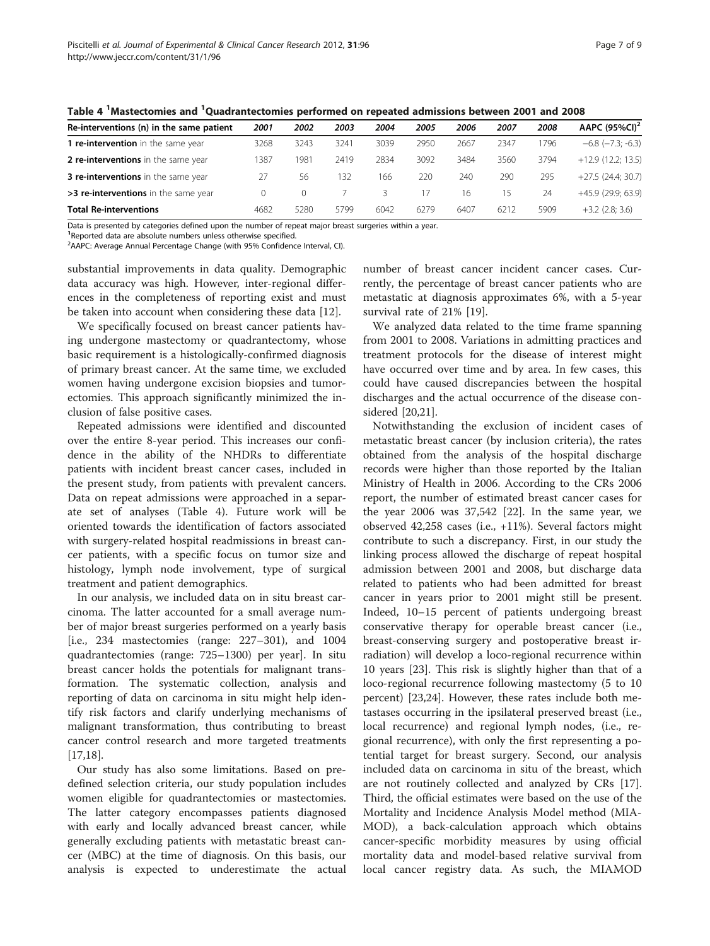| Re-interventions (n) in the same patient | 2001 | 2002 | 2003 | 2004 | 2005 | 2006 | 2007 | 2008 | AAPC (95%CI) <sup>2</sup> |
|------------------------------------------|------|------|------|------|------|------|------|------|---------------------------|
| 1 re-intervention in the same year       | 3268 | 3243 | 3241 | 3039 | 2950 | 2667 | 2347 | 1796 | $-6.8$ $(-7.3; -6.3)$     |
| 2 re-interventions in the same year      | 1387 | 1981 | 2419 | 2834 | 3092 | 3484 | 3560 | 3794 | $+12.9$ (12.2; 13.5)      |
| 3 re-interventions in the same year      | 27   | 56   | 132  | 166  | 220  | 240  | 290  | 295  | $+27.5(24.4; 30.7)$       |
| >3 re-interventions in the same year     |      |      |      | 3    |      | 16   | 15   | 24   | +45.9 (29.9; 63.9)        |
| <b>Total Re-interventions</b>            | 4682 | 5280 | 5799 | 6042 | 6279 | 6407 | 6212 | 5909 | $+3.2$ (2.8; 3.6)         |

<span id="page-6-0"></span>Table 4 <sup>1</sup>Mastectomies and <sup>1</sup>Quadrantectomies performed on repeated admissions between 2001 and 2008

Data is presented by categories defined upon the number of repeat major breast surgeries within a year.

<sup>1</sup>Reported data are absolute numbers unless otherwise specified.

<sup>2</sup>AAPC: Average Annual Percentage Change (with 95% Confidence Interval, CI).

substantial improvements in data quality. Demographic data accuracy was high. However, inter-regional differences in the completeness of reporting exist and must be taken into account when considering these data [\[12\]](#page-8-0).

We specifically focused on breast cancer patients having undergone mastectomy or quadrantectomy, whose basic requirement is a histologically-confirmed diagnosis of primary breast cancer. At the same time, we excluded women having undergone excision biopsies and tumorectomies. This approach significantly minimized the inclusion of false positive cases.

Repeated admissions were identified and discounted over the entire 8-year period. This increases our confidence in the ability of the NHDRs to differentiate patients with incident breast cancer cases, included in the present study, from patients with prevalent cancers. Data on repeat admissions were approached in a separate set of analyses (Table 4). Future work will be oriented towards the identification of factors associated with surgery-related hospital readmissions in breast cancer patients, with a specific focus on tumor size and histology, lymph node involvement, type of surgical treatment and patient demographics.

In our analysis, we included data on in situ breast carcinoma. The latter accounted for a small average number of major breast surgeries performed on a yearly basis [i.e., 234 mastectomies (range: 227–301), and 1004 quadrantectomies (range: 725–1300) per year]. In situ breast cancer holds the potentials for malignant transformation. The systematic collection, analysis and reporting of data on carcinoma in situ might help identify risk factors and clarify underlying mechanisms of malignant transformation, thus contributing to breast cancer control research and more targeted treatments [[17,18\]](#page-8-0).

Our study has also some limitations. Based on predefined selection criteria, our study population includes women eligible for quadrantectomies or mastectomies. The latter category encompasses patients diagnosed with early and locally advanced breast cancer, while generally excluding patients with metastatic breast cancer (MBC) at the time of diagnosis. On this basis, our analysis is expected to underestimate the actual number of breast cancer incident cancer cases. Currently, the percentage of breast cancer patients who are metastatic at diagnosis approximates 6%, with a 5-year survival rate of 21% [\[19](#page-8-0)].

We analyzed data related to the time frame spanning from 2001 to 2008. Variations in admitting practices and treatment protocols for the disease of interest might have occurred over time and by area. In few cases, this could have caused discrepancies between the hospital discharges and the actual occurrence of the disease considered [\[20,21\]](#page-8-0).

Notwithstanding the exclusion of incident cases of metastatic breast cancer (by inclusion criteria), the rates obtained from the analysis of the hospital discharge records were higher than those reported by the Italian Ministry of Health in 2006. According to the CRs 2006 report, the number of estimated breast cancer cases for the year 2006 was 37,542 [\[22](#page-8-0)]. In the same year, we observed 42,258 cases (i.e., +11%). Several factors might contribute to such a discrepancy. First, in our study the linking process allowed the discharge of repeat hospital admission between 2001 and 2008, but discharge data related to patients who had been admitted for breast cancer in years prior to 2001 might still be present. Indeed, 10–15 percent of patients undergoing breast conservative therapy for operable breast cancer (i.e., breast-conserving surgery and postoperative breast irradiation) will develop a loco-regional recurrence within 10 years [\[23](#page-8-0)]. This risk is slightly higher than that of a loco-regional recurrence following mastectomy (5 to 10 percent) [[23](#page-8-0),[24](#page-8-0)]. However, these rates include both metastases occurring in the ipsilateral preserved breast (i.e., local recurrence) and regional lymph nodes, (i.e., regional recurrence), with only the first representing a potential target for breast surgery. Second, our analysis included data on carcinoma in situ of the breast, which are not routinely collected and analyzed by CRs [\[17](#page-8-0)]. Third, the official estimates were based on the use of the Mortality and Incidence Analysis Model method (MIA-MOD), a back-calculation approach which obtains cancer-specific morbidity measures by using official mortality data and model-based relative survival from local cancer registry data. As such, the MIAMOD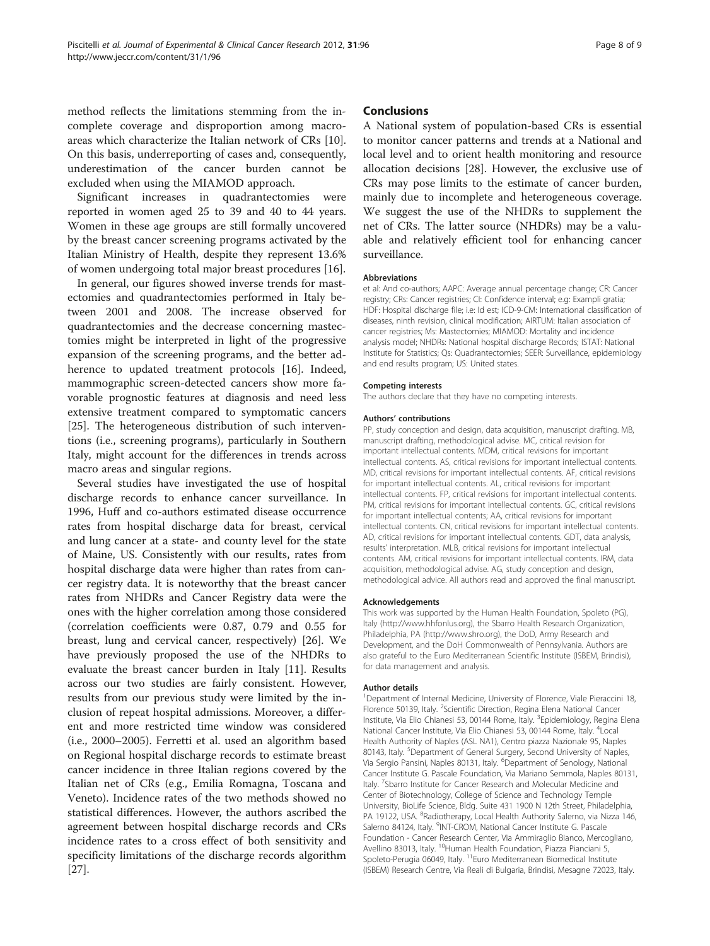method reflects the limitations stemming from the incomplete coverage and disproportion among macroareas which characterize the Italian network of CRs [\[10](#page-8-0)]. On this basis, underreporting of cases and, consequently, underestimation of the cancer burden cannot be excluded when using the MIAMOD approach.

Significant increases in quadrantectomies were reported in women aged 25 to 39 and 40 to 44 years. Women in these age groups are still formally uncovered by the breast cancer screening programs activated by the Italian Ministry of Health, despite they represent 13.6% of women undergoing total major breast procedures [[16\]](#page-8-0).

In general, our figures showed inverse trends for mastectomies and quadrantectomies performed in Italy between 2001 and 2008. The increase observed for quadrantectomies and the decrease concerning mastectomies might be interpreted in light of the progressive expansion of the screening programs, and the better adherence to updated treatment protocols [[16](#page-8-0)]. Indeed, mammographic screen-detected cancers show more favorable prognostic features at diagnosis and need less extensive treatment compared to symptomatic cancers [[25\]](#page-8-0). The heterogeneous distribution of such interventions (i.e., screening programs), particularly in Southern Italy, might account for the differences in trends across macro areas and singular regions.

Several studies have investigated the use of hospital discharge records to enhance cancer surveillance. In 1996, Huff and co-authors estimated disease occurrence rates from hospital discharge data for breast, cervical and lung cancer at a state- and county level for the state of Maine, US. Consistently with our results, rates from hospital discharge data were higher than rates from cancer registry data. It is noteworthy that the breast cancer rates from NHDRs and Cancer Registry data were the ones with the higher correlation among those considered (correlation coefficients were 0.87, 0.79 and 0.55 for breast, lung and cervical cancer, respectively) [[26](#page-8-0)]. We have previously proposed the use of the NHDRs to evaluate the breast cancer burden in Italy [\[11\]](#page-8-0). Results across our two studies are fairly consistent. However, results from our previous study were limited by the inclusion of repeat hospital admissions. Moreover, a different and more restricted time window was considered (i.e., 2000–2005). Ferretti et al. used an algorithm based on Regional hospital discharge records to estimate breast cancer incidence in three Italian regions covered by the Italian net of CRs (e.g., Emilia Romagna, Toscana and Veneto). Incidence rates of the two methods showed no statistical differences. However, the authors ascribed the agreement between hospital discharge records and CRs incidence rates to a cross effect of both sensitivity and specificity limitations of the discharge records algorithm [[27\]](#page-8-0).

# Conclusions

A National system of population-based CRs is essential to monitor cancer patterns and trends at a National and local level and to orient health monitoring and resource allocation decisions [\[28](#page-8-0)]. However, the exclusive use of CRs may pose limits to the estimate of cancer burden, mainly due to incomplete and heterogeneous coverage. We suggest the use of the NHDRs to supplement the net of CRs. The latter source (NHDRs) may be a valuable and relatively efficient tool for enhancing cancer surveillance.

#### Abbreviations

et al: And co-authors; AAPC: Average annual percentage change; CR: Cancer registry; CRs: Cancer registries; CI: Confidence interval; e.g: Exampli gratia; HDF: Hospital discharge file; i.e: Id est; ICD-9-CM: International classification of diseases, ninth revision, clinical modification; AIRTUM: Italian association of cancer registries; Ms: Mastectomies; MIAMOD: Mortality and incidence analysis model; NHDRs: National hospital discharge Records; ISTAT: National Institute for Statistics; Qs: Quadrantectomies; SEER: Surveillance, epidemiology and end results program; US: United states.

#### Competing interests

The authors declare that they have no competing interests.

#### Authors' contributions

PP, study conception and design, data acquisition, manuscript drafting. MB, manuscript drafting, methodological advise. MC, critical revision for important intellectual contents. MDM, critical revisions for important intellectual contents. AS, critical revisions for important intellectual contents. MD, critical revisions for important intellectual contents. AF, critical revisions for important intellectual contents. AL, critical revisions for important intellectual contents. FP, critical revisions for important intellectual contents. PM, critical revisions for important intellectual contents. GC, critical revisions for important intellectual contents; AA, critical revisions for important intellectual contents. CN, critical revisions for important intellectual contents. AD, critical revisions for important intellectual contents. GDT, data analysis, results' interpretation. MLB, critical revisions for important intellectual contents. AM, critical revisions for important intellectual contents. IRM, data acquisition, methodological advise. AG, study conception and design, methodological advice. All authors read and approved the final manuscript.

#### Acknowledgements

This work was supported by the Human Health Foundation, Spoleto (PG), Italy (http://www.hhfonlus.org), the Sbarro Health Research Organization, Philadelphia, PA (http://www.shro.org), the DoD, Army Research and Development, and the DoH Commonwealth of Pennsylvania. Authors are also grateful to the Euro Mediterranean Scientific Institute (ISBEM, Brindisi), for data management and analysis.

#### Author details

<sup>1</sup>Department of Internal Medicine, University of Florence, Viale Pieraccini 18 Florence 50139, Italy. <sup>2</sup>Scientific Direction, Regina Elena National Cancer Institute, Via Elio Chianesi 53, 00144 Rome, Italy. <sup>3</sup>Epidemiology, Regina Elena National Cancer Institute, Via Elio Chianesi 53, 00144 Rome, Italy. <sup>4</sup>Local Health Authority of Naples (ASL NA1), Centro piazza Nazionale 95, Naples 80143, Italy. <sup>5</sup>Department of General Surgery, Second University of Naples, Via Sergio Pansini, Naples 80131, Italy. <sup>6</sup>Department of Senology, National Cancer Institute G. Pascale Foundation, Via Mariano Semmola, Naples 80131, Italy. <sup>7</sup>Sbarro Institute for Cancer Research and Molecular Medicine and Center of Biotechnology, College of Science and Technology Temple University, BioLife Science, Bldg. Suite 431 1900 N 12th Street, Philadelphia, PA 19122, USA. <sup>8</sup>Radiotherapy, Local Health Authority Salerno, via Nizza 146 Salerno 84124, Italy. <sup>9</sup>INT-CROM, National Cancer Institute G. Pascale Foundation - Cancer Research Center, Via Ammiraglio Bianco, Mercogliano, Avellino 83013, Italy. <sup>10</sup>Human Health Foundation, Piazza Pianciani 5, Spoleto-Perugia 06049, Italy. <sup>11</sup>Euro Mediterranean Biomedical Institute (ISBEM) Research Centre, Via Reali di Bulgaria, Brindisi, Mesagne 72023, Italy.